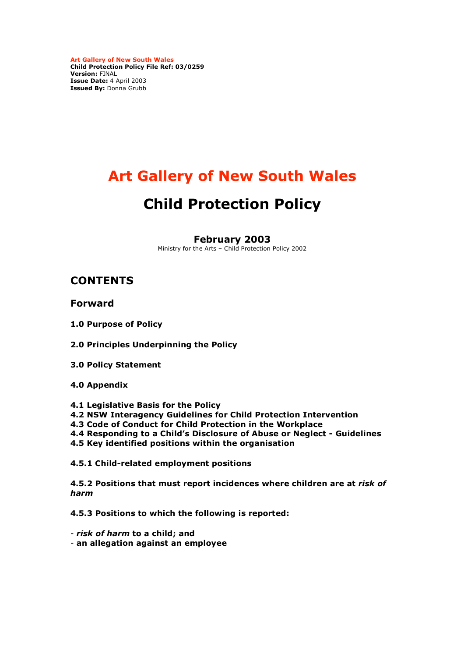**Art Gallery of New South Wales Child Protection Policy File Ref: 03/0259 Version:** FINAL **Issue Date:** 4 April 2003 **Issued By:** Donna Grubb

# **Art Gallery of New South Wales**

# **Child Protection Policy**

**February 2003**

Ministry for the Arts – Child Protection Policy 2002

# **CONTENTS**

**Forward**

**1.0 Purpose of Policy**

**2.0 Principles Underpinning the Policy**

- **3.0 Policy Statement**
- **4.0 Appendix**
- **4.1 Legislative Basis for the Policy**
- **4.2 NSW Interagency Guidelines for Child Protection Intervention**
- **4.3 Code of Conduct for Child Protection in the Workplace**
- **4.4 Responding to a Child's Disclosure of Abuse or Neglect - Guidelines**
- **4.5 Key identified positions within the organisation**

**4.5.1 Child-related employment positions**

**4.5.2 Positions that must report incidences where children are at** *risk of harm*

**4.5.3 Positions to which the following is reported:**

- *risk of harm* **to a child; and**
- **an allegation against an employee**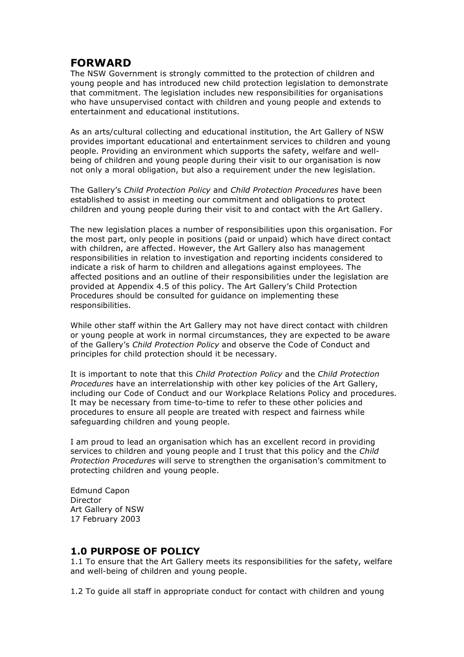## **FORWARD**

The NSW Government is strongly committed to the protection of children and young people and has introduced new child protection legislation to demonstrate that commitment. The legislation includes new responsibilities for organisations who have unsupervised contact with children and young people and extends to entertainment and educational institutions.

As an arts/cultural collecting and educational institution, the Art Gallery of NSW provides important educational and entertainment services to children and young people. Providing an environment which supports the safety, welfare and wellbeing of children and young people during their visit to our organisation is now not only a moral obligation, but also a requirement under the new legislation.

The Gallery's *Child Protection Policy* and *Child Protection Procedures* have been established to assist in meeting our commitment and obligations to protect children and young people during their visit to and contact with the Art Gallery.

The new legislation places a number of responsibilities upon this organisation. For the most part, only people in positions (paid or unpaid) which have direct contact with children, are affected. However, the Art Gallery also has management responsibilities in relation to investigation and reporting incidents considered to indicate a risk of harm to children and allegations against employees. The affected positions and an outline of their responsibilities under the legislation are provided at Appendix 4.5 of this policy. The Art Gallery's Child Protection Procedures should be consulted for guidance on implementing these responsibilities.

While other staff within the Art Gallery may not have direct contact with children or young people at work in normal circumstances, they are expected to be aware of the Gallery's *Child Protection Policy* and observe the Code of Conduct and principles for child protection should it be necessary.

It is important to note that this *Child Protection Policy* and the *Child Protection Procedures* have an interrelationship with other key policies of the Art Gallery, including our Code of Conduct and our Workplace Relations Policy and procedures. It may be necessary from time-to-time to refer to these other policies and procedures to ensure all people are treated with respect and fairness while safeguarding children and young people.

I am proud to lead an organisation which has an excellent record in providing services to children and young people and I trust that this policy and the *Child Protection Procedures* will serve to strengthen the organisation's commitment to protecting children and young people.

Edmund Capon Director Art Gallery of NSW 17 February 2003

## **1.0 PURPOSE OF POLICY**

1.1 To ensure that the Art Gallery meets its responsibilities for the safety, welfare and well-being of children and young people.

1.2 To guide all staff in appropriate conduct for contact with children and young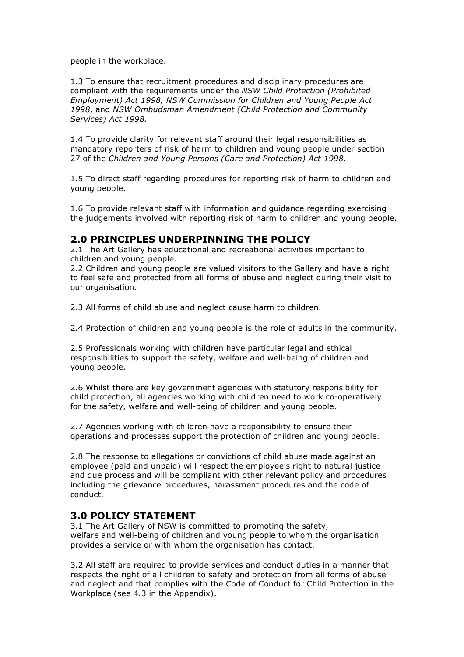people in the workplace.

1.3 To ensure that recruitment procedures and disciplinary procedures are compliant with the requirements under the *NSW Child Protection (Prohibited Employment) Act 1998, NSW Commission for Children and Young People Act 1998*, and *NSW Ombudsman Amendment (Child Protection and Community Services) Act 1998.*

1.4 To provide clarity for relevant staff around their legal responsibilities as mandatory reporters of risk of harm to children and young people under section 27 of the *Children and Young Persons (Care and Protection) Act 1998.*

1.5 To direct staff regarding procedures for reporting risk of harm to children and young people.

1.6 To provide relevant staff with information and guidance regarding exercising the judgements involved with reporting risk of harm to children and young people.

## **2.0 PRINCIPLES UNDERPINNING THE POLICY**

2.1 The Art Gallery has educational and recreational activities important to children and young people.

2.2 Children and young people are valued visitors to the Gallery and have a right to feel safe and protected from all forms of abuse and neglect during their visit to our organisation.

2.3 All forms of child abuse and neglect cause harm to children.

2.4 Protection of children and young people is the role of adults in the community.

2.5 Professionals working with children have particular legal and ethical responsibilities to support the safety, welfare and well-being of children and young people.

2.6 Whilst there are key government agencies with statutory responsibility for child protection, all agencies working with children need to work co-operatively for the safety, welfare and well-being of children and young people.

2.7 Agencies working with children have a responsibility to ensure their operations and processes support the protection of children and young people.

2.8 The response to allegations or convictions of child abuse made against an employee (paid and unpaid) will respect the employee's right to natural justice and due process and will be compliant with other relevant policy and procedures including the grievance procedures, harassment procedures and the code of conduct.

## **3.0 POLICY STATEMENT**

3.1 The Art Gallery of NSW is committed to promoting the safety, welfare and well-being of children and young people to whom the organisation provides a service or with whom the organisation has contact.

3.2 All staff are required to provide services and conduct duties in a manner that respects the right of all children to safety and protection from all forms of abuse and neglect and that complies with the Code of Conduct for Child Protection in the Workplace (see 4.3 in the Appendix).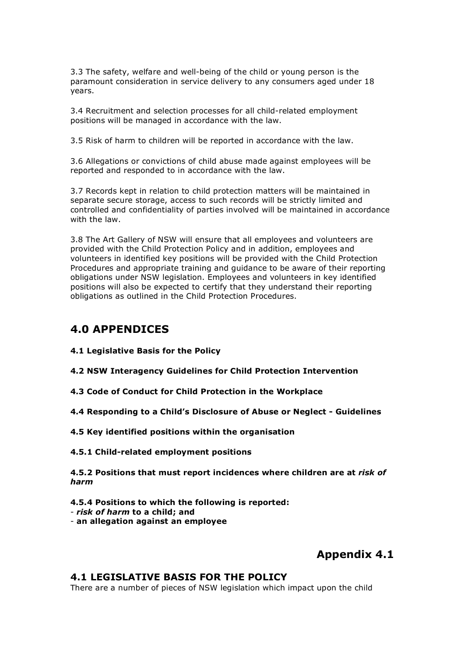3.3 The safety, welfare and well-being of the child or young person is the paramount consideration in service delivery to any consumers aged under 18 years.

3.4 Recruitment and selection processes for all child-related employment positions will be managed in accordance with the law.

3.5 Risk of harm to children will be reported in accordance with the law.

3.6 Allegations or convictions of child abuse made against employees will be reported and responded to in accordance with the law.

3.7 Records kept in relation to child protection matters will be maintained in separate secure storage, access to such records will be strictly limited and controlled and confidentiality of parties involved will be maintained in accordance with the law.

3.8 The Art Gallery of NSW will ensure that all employees and volunteers are provided with the Child Protection Policy and in addition, employees and volunteers in identified key positions will be provided with the Child Protection Procedures and appropriate training and guidance to be aware of their reporting obligations under NSW legislation. Employees and volunteers in key identified positions will also be expected to certify that they understand their reporting obligations as outlined in the Child Protection Procedures.

## **4.0 APPENDICES**

**4.1 Legislative Basis for the Policy**

**4.2 NSW Interagency Guidelines for Child Protection Intervention**

**4.3 Code of Conduct for Child Protection in the Workplace**

**4.4 Responding to a Child's Disclosure of Abuse or Neglect - Guidelines**

- **4.5 Key identified positions within the organisation**
- **4.5.1 Child-related employment positions**

**4.5.2 Positions that must report incidences where children are at** *risk of harm*

**4.5.4 Positions to which the following is reported:** - *risk of harm* **to a child; and** - **an allegation against an employee**

## **Appendix 4.1**

#### **4.1 LEGISLATIVE BASIS FOR THE POLICY**

There are a number of pieces of NSW legislation which impact upon the child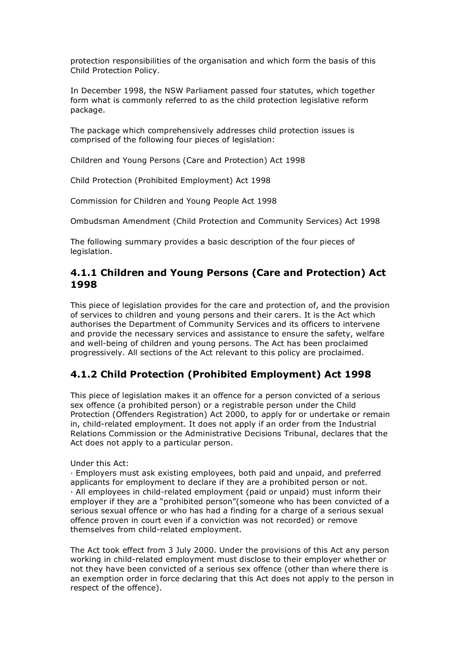protection responsibilities of the organisation and which form the basis of this Child Protection Policy.

In December 1998, the NSW Parliament passed four statutes, which together form what is commonly referred to as the child protection legislative reform package.

The package which comprehensively addresses child protection issues is comprised of the following four pieces of legislation:

Children and Young Persons (Care and Protection) Act 1998

Child Protection (Prohibited Employment) Act 1998

Commission for Children and Young People Act 1998

Ombudsman Amendment (Child Protection and Community Services) Act 1998

The following summary provides a basic description of the four pieces of legislation.

#### **4.1.1 Children and Young Persons (Care and Protection) Act 1998**

This piece of legislation provides for the care and protection of, and the provision of services to children and young persons and their carers. It is the Act which authorises the Department of Community Services and its officers to intervene and provide the necessary services and assistance to ensure the safety, welfare and well-being of children and young persons. The Act has been proclaimed progressively. All sections of the Act relevant to this policy are proclaimed.

## **4.1.2 Child Protection (Prohibited Employment) Act 1998**

This piece of legislation makes it an offence for a person convicted of a serious sex offence (a prohibited person) or a registrable person under the Child Protection (Offenders Registration) Act 2000, to apply for or undertake or remain in, child-related employment. It does not apply if an order from the Industrial Relations Commission or the Administrative Decisions Tribunal, declares that the Act does not apply to a particular person.

Under this Act:

· Employers must ask existing employees, both paid and unpaid, and preferred applicants for employment to declare if they are a prohibited person or not. · All employees in child-related employment (paid or unpaid) must inform their employer if they are a "prohibited person"(someone who has been convicted of a serious sexual offence or who has had a finding for a charge of a serious sexual offence proven in court even if a conviction was not recorded) or remove themselves from child-related employment.

The Act took effect from 3 July 2000. Under the provisions of this Act any person working in child-related employment must disclose to their employer whether or not they have been convicted of a serious sex offence (other than where there is an exemption order in force declaring that this Act does not apply to the person in respect of the offence).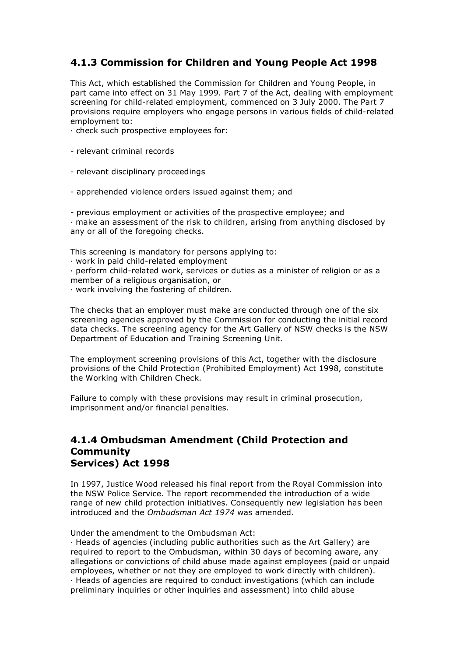## **4.1.3 Commission for Children and Young People Act 1998**

This Act, which established the Commission for Children and Young People, in part came into effect on 31 May 1999. Part 7 of the Act, dealing with employment screening for child-related employment, commenced on 3 July 2000. The Part 7 provisions require employers who engage persons in various fields of child-related employment to:

· check such prospective employees for:

- relevant criminal records

- relevant disciplinary proceedings
- apprehended violence orders issued against them; and

- previous employment or activities of the prospective employee; and

· make an assessment of the risk to children, arising from anything disclosed by any or all of the foregoing checks.

This screening is mandatory for persons applying to:

· work in paid child-related employment

· perform child-related work, services or duties as a minister of religion or as a member of a religious organisation, or

· work involving the fostering of children.

The checks that an employer must make are conducted through one of the six screening agencies approved by the Commission for conducting the initial record data checks. The screening agency for the Art Gallery of NSW checks is the NSW Department of Education and Training Screening Unit.

The employment screening provisions of this Act, together with the disclosure provisions of the Child Protection (Prohibited Employment) Act 1998, constitute the Working with Children Check.

Failure to comply with these provisions may result in criminal prosecution, imprisonment and/or financial penalties.

#### **4.1.4 Ombudsman Amendment (Child Protection and Community Services) Act 1998**

In 1997, Justice Wood released his final report from the Royal Commission into the NSW Police Service. The report recommended the introduction of a wide range of new child protection initiatives. Consequently new legislation has been introduced and the *Ombudsman Act 1974* was amended.

Under the amendment to the Ombudsman Act:

· Heads of agencies (including public authorities such as the Art Gallery) are required to report to the Ombudsman, within 30 days of becoming aware, any allegations or convictions of child abuse made against employees (paid or unpaid employees, whether or not they are employed to work directly with children). · Heads of agencies are required to conduct investigations (which can include preliminary inquiries or other inquiries and assessment) into child abuse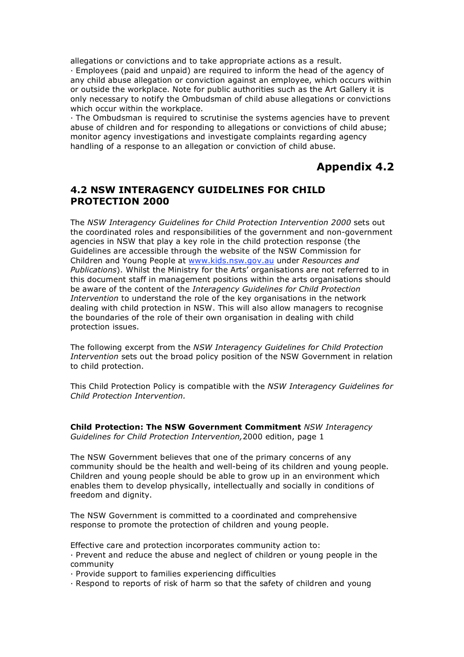allegations or convictions and to take appropriate actions as a result.

· Employees (paid and unpaid) are required to inform the head of the agency of any child abuse allegation or conviction against an employee, which occurs within or outside the workplace. Note for public authorities such as the Art Gallery it is only necessary to notify the Ombudsman of child abuse allegations or convictions which occur within the workplace.

· The Ombudsman is required to scrutinise the systems agencies have to prevent abuse of children and for responding to allegations or convictions of child abuse; monitor agency investigations and investigate complaints regarding agency handling of a response to an allegation or conviction of child abuse.

# **Appendix 4.2**

#### **4.2 NSW INTERAGENCY GUIDELINES FOR CHILD PROTECTION 2000**

The *NSW Interagency Guidelines for Child Protection Intervention 2000* sets out the coordinated roles and responsibilities of the government and non-government agencies in NSW that play a key role in the child protection response (the Guidelines are accessible through the website of the NSW Commission for Children and Young People at www.kids.nsw.gov.au under *Resources and Publications*). Whilst the Ministry for the Arts' organisations are not referred to in this document staff in management positions within the arts organisations should be aware of the content of the *Interagency Guidelines for Child Protection Intervention* to understand the role of the key organisations in the network dealing with child protection in NSW. This will also allow managers to recognise the boundaries of the role of their own organisation in dealing with child protection issues.

The following excerpt from the *NSW Interagency Guidelines for Child Protection Intervention* sets out the broad policy position of the NSW Government in relation to child protection.

This Child Protection Policy is compatible with the *NSW Interagency Guidelines for Child Protection Intervention.*

**Child Protection: The NSW Government Commitment** *NSW Interagency Guidelines for Child Protection Intervention,*2000 edition, page 1

The NSW Government believes that one of the primary concerns of any community should be the health and well-being of its children and young people. Children and young people should be able to grow up in an environment which enables them to develop physically, intellectually and socially in conditions of freedom and dignity.

The NSW Government is committed to a coordinated and comprehensive response to promote the protection of children and young people.

Effective care and protection incorporates community action to:

· Prevent and reduce the abuse and neglect of children or young people in the community

· Provide support to families experiencing difficulties

· Respond to reports of risk of harm so that the safety of children and young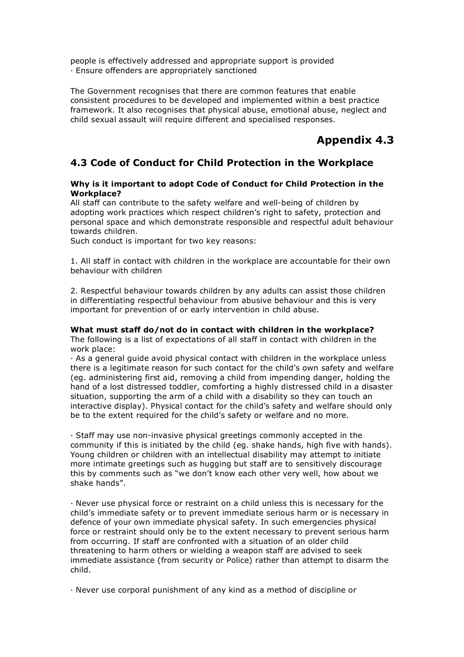people is effectively addressed and appropriate support is provided · Ensure offenders are appropriately sanctioned

The Government recognises that there are common features that enable consistent procedures to be developed and implemented within a best practice framework. It also recognises that physical abuse, emotional abuse, neglect and child sexual assault will require different and specialised responses.

# **Appendix 4.3**

## **4.3 Code of Conduct for Child Protection in the Workplace**

#### **Why is it important to adopt Code of Conduct for Child Protection in the Workplace?**

All staff can contribute to the safety welfare and well-being of children by adopting work practices which respect children's right to safety, protection and personal space and which demonstrate responsible and respectful adult behaviour towards children.

Such conduct is important for two key reasons:

1. All staff in contact with children in the workplace are accountable for their own behaviour with children

2. Respectful behaviour towards children by any adults can assist those children in differentiating respectful behaviour from abusive behaviour and this is very important for prevention of or early intervention in child abuse.

#### **What must staff do/not do in contact with children in the workplace?**

The following is a list of expectations of all staff in contact with children in the work place:

· As a general guide avoid physical contact with children in the workplace unless there is a legitimate reason for such contact for the child's own safety and welfare (eg. administering first aid, removing a child from impending danger, holding the hand of a lost distressed toddler, comforting a highly distressed child in a disaster situation, supporting the arm of a child with a disability so they can touch an interactive display). Physical contact for the child's safety and welfare should only be to the extent required for the child's safety or welfare and no more.

· Staff may use non-invasive physical greetings commonly accepted in the community if this is initiated by the child (eg. shake hands, high five with hands). Young children or children with an intellectual disability may attempt to initiate more intimate greetings such as hugging but staff are to sensitively discourage this by comments such as "we don't know each other very well, how about we shake hands".

· Never use physical force or restraint on a child unless this is necessary for the child's immediate safety or to prevent immediate serious harm or is necessary in defence of your own immediate physical safety. In such emergencies physical force or restraint should only be to the extent necessary to prevent serious harm from occurring. If staff are confronted with a situation of an older child threatening to harm others or wielding a weapon staff are advised to seek immediate assistance (from security or Police) rather than attempt to disarm the child.

· Never use corporal punishment of any kind as a method of discipline or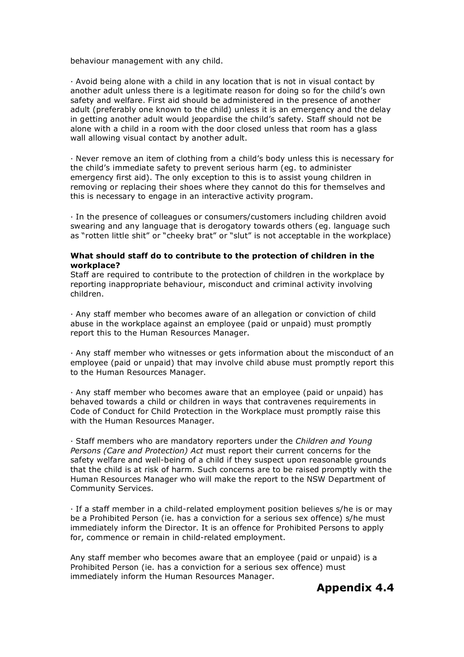behaviour management with any child.

· Avoid being alone with a child in any location that is not in visual contact by another adult unless there is a legitimate reason for doing so for the child's own safety and welfare. First aid should be administered in the presence of another adult (preferably one known to the child) unless it is an emergency and the delay in getting another adult would jeopardise the child's safety. Staff should not be alone with a child in a room with the door closed unless that room has a glass wall allowing visual contact by another adult.

· Never remove an item of clothing from a child's body unless this is necessary for the child's immediate safety to prevent serious harm (eg. to administer emergency first aid). The only exception to this is to assist young children in removing or replacing their shoes where they cannot do this for themselves and this is necessary to engage in an interactive activity program.

· In the presence of colleagues or consumers/customers including children avoid swearing and any language that is derogatory towards others (eg. language such as "rotten little shit" or "cheeky brat" or "slut" is not acceptable in the workplace)

#### **What should staff do to contribute to the protection of children in the workplace?**

Staff are required to contribute to the protection of children in the workplace by reporting inappropriate behaviour, misconduct and criminal activity involving children.

· Any staff member who becomes aware of an allegation or conviction of child abuse in the workplace against an employee (paid or unpaid) must promptly report this to the Human Resources Manager.

· Any staff member who witnesses or gets information about the misconduct of an employee (paid or unpaid) that may involve child abuse must promptly report this to the Human Resources Manager.

· Any staff member who becomes aware that an employee (paid or unpaid) has behaved towards a child or children in ways that contravenes requirements in Code of Conduct for Child Protection in the Workplace must promptly raise this with the Human Resources Manager.

· Staff members who are mandatory reporters under the *Children and Young Persons (Care and Protection) Act* must report their current concerns for the safety welfare and well-being of a child if they suspect upon reasonable grounds that the child is at risk of harm. Such concerns are to be raised promptly with the Human Resources Manager who will make the report to the NSW Department of Community Services.

· If a staff member in a child-related employment position believes s/he is or may be a Prohibited Person (ie. has a conviction for a serious sex offence) s/he must immediately inform the Director. It is an offence for Prohibited Persons to apply for, commence or remain in child-related employment.

Any staff member who becomes aware that an employee (paid or unpaid) is a Prohibited Person (ie. has a conviction for a serious sex offence) must immediately inform the Human Resources Manager.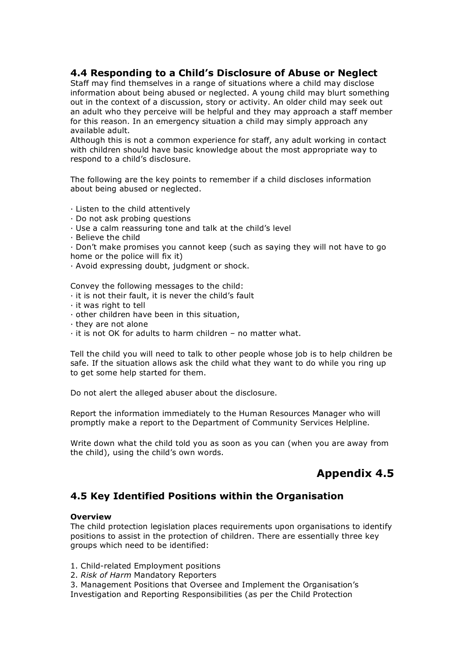#### **4.4 Responding to a Child's Disclosure of Abuse or Neglect**

Staff may find themselves in a range of situations where a child may disclose information about being abused or neglected. A young child may blurt something out in the context of a discussion, story or activity. An older child may seek out an adult who they perceive will be helpful and they may approach a staff member for this reason. In an emergency situation a child may simply approach any available adult.

Although this is not a common experience for staff, any adult working in contact with children should have basic knowledge about the most appropriate way to respond to a child's disclosure.

The following are the key points to remember if a child discloses information about being abused or neglected.

- · Listen to the child attentively
- · Do not ask probing questions
- · Use a calm reassuring tone and talk at the child's level
- · Believe the child

· Don't make promises you cannot keep (such as saying they will not have to go home or the police will fix it)

· Avoid expressing doubt, judgment or shock.

Convey the following messages to the child:

- · it is not their fault, it is never the child's fault
- · it was right to tell
- · other children have been in this situation,
- · they are not alone
- · it is not OK for adults to harm children no matter what.

Tell the child you will need to talk to other people whose job is to help children be safe. If the situation allows ask the child what they want to do while you ring up to get some help started for them.

Do not alert the alleged abuser about the disclosure.

Report the information immediately to the Human Resources Manager who will promptly make a report to the Department of Community Services Helpline.

Write down what the child told you as soon as you can (when you are away from the child), using the child's own words.

# **Appendix 4.5**

## **4.5 Key Identified Positions within the Organisation**

#### **Overview**

The child protection legislation places requirements upon organisations to identify positions to assist in the protection of children. There are essentially three key groups which need to be identified:

1. Child-related Employment positions

2. *Risk of Harm* Mandatory Reporters

3. Management Positions that Oversee and Implement the Organisation's Investigation and Reporting Responsibilities (as per the Child Protection